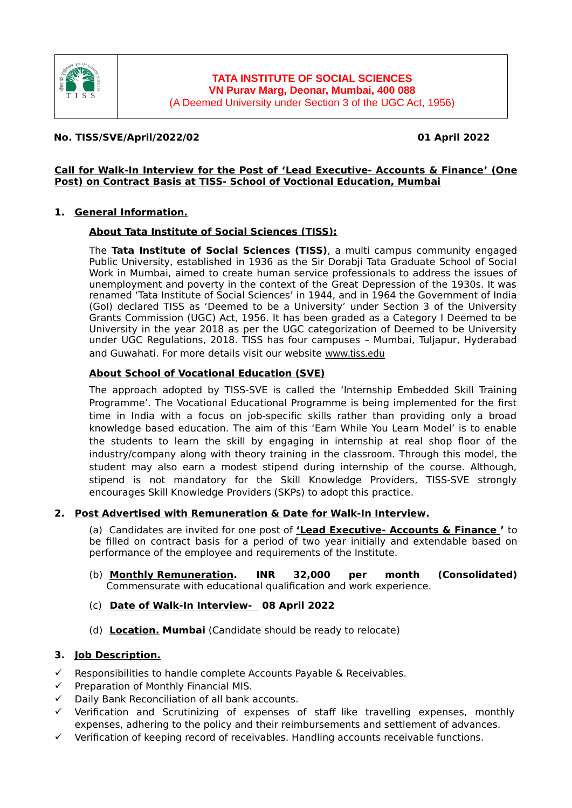

## **No. TISS/SVE/April/2022/02 01 April 2022**

#### **Call for Walk-In Interview for the Post of ' Lead Executive- Accounts & Finance ' ( One Post) on Contract Basis at TISS- School of Voctional Education, Mumbai**

#### **1. General Information.**

#### **About Tata Institute of Social Sciences (TISS):**

The **Tata Institute of Social Sciences (TISS)**, a multi campus community engaged Public University, established in 1936 as the Sir Dorabji Tata Graduate School of Social Work in Mumbai, aimed to create human service professionals to address the issues of unemployment and poverty in the context of the Great Depression of the 1930s. It was renamed 'Tata Institute of Social Sciences' in 1944, and in 1964 the Government of India (GoI) declared TISS as 'Deemed to be a University' under Section 3 of the University Grants Commission (UGC) Act, 1956. It has been graded as a Category I Deemed to be University in the year 2018 as per the UGC categorization of Deemed to be University under UGC Regulations, 2018. TISS has four campuses – Mumbai, Tuljapur, Hyderabad and Guwahati. For more details visit our website [www.tiss.edu](http://www.tiss.edu/)

## **About School of Vocational Education (SVE)**

The approach adopted by TISS-SVE is called the 'Internship Embedded Skill Training Programme'. The Vocational Educational Programme is being implemented for the first time in India with a focus on job-specific skills rather than providing only a broad knowledge based education. The aim of this 'Earn While You Learn Model' is to enable the students to learn the skill by engaging in internship at real shop floor of the industry/company along with theory training in the classroom. Through this model, the student may also earn a modest stipend during internship of the course. Although, stipend is not mandatory for the Skill Knowledge Providers, TISS-SVE strongly encourages Skill Knowledge Providers (SKPs) to adopt this practice.

## **2. Post Advertised with Remuneration & Date for Walk-In Interview .**

(a) Candidates are invited for one post of **' Lead Executive- Accounts & Finance '** to be filled on contract basis for a period of two year initially and extendable based on performance of the employee and requirements of the Institute.

- (b) **Monthly Remuneration. INR 32,000 per month (Consolidated)** Commensurate with educational qualification and work experience.
- (c) **Date of Walk-In Interview- 08 April 2022**
- (d) **Location. Mumbai** (Candidate should be ready to relocate)

## **3. Job Description.**

- $\checkmark$  Responsibilities to handle complete Accounts Payable & Receivables.
- $\checkmark$  Preparation of Monthly Financial MIS.
- Daily Bank Reconciliation of all bank accounts.
- $\checkmark$  Verification and Scrutinizing of expenses of staff like travelling expenses, monthly expenses, adhering to the policy and their reimbursements and settlement of advances.
- $\checkmark$  Verification of keeping record of receivables. Handling accounts receivable functions.